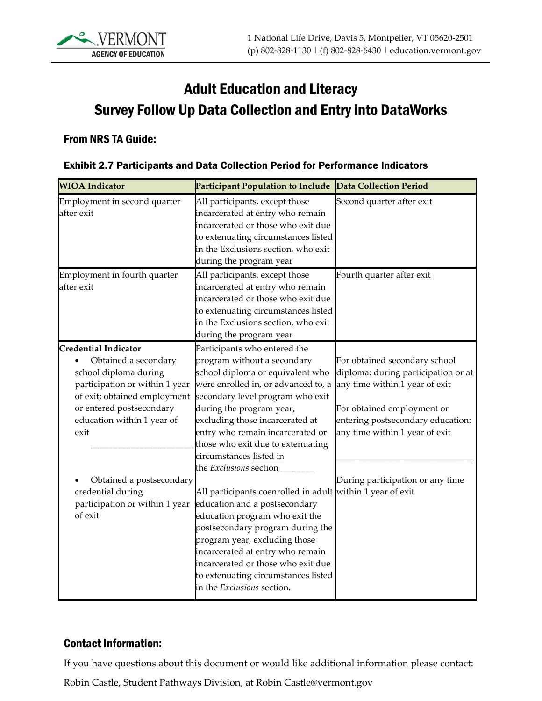# Adult Education and Literacy Survey Follow Up Data Collection and Entry into DataWorks

#### From NRS TA Guide:

| <b>WIOA</b> Indicator                                                                                                                                                                                                                        | <b>Participant Population to Include</b>                                                                                                                                                                                                                                                                                                                                | <b>Data Collection Period</b>                                                                                                                                                                                                                   |
|----------------------------------------------------------------------------------------------------------------------------------------------------------------------------------------------------------------------------------------------|-------------------------------------------------------------------------------------------------------------------------------------------------------------------------------------------------------------------------------------------------------------------------------------------------------------------------------------------------------------------------|-------------------------------------------------------------------------------------------------------------------------------------------------------------------------------------------------------------------------------------------------|
| Employment in second quarter<br>after exit                                                                                                                                                                                                   | All participants, except those<br>incarcerated at entry who remain<br>incarcerated or those who exit due<br>to extenuating circumstances listed<br>in the Exclusions section, who exit<br>during the program year                                                                                                                                                       | Second quarter after exit                                                                                                                                                                                                                       |
| Employment in fourth quarter<br>after exit                                                                                                                                                                                                   | All participants, except those<br>incarcerated at entry who remain<br>incarcerated or those who exit due<br>to extenuating circumstances listed<br>in the Exclusions section, who exit<br>during the program year                                                                                                                                                       | Fourth quarter after exit                                                                                                                                                                                                                       |
| <b>Credential Indicator</b><br>Obtained a secondary<br>school diploma during<br>participation or within 1 year<br>of exit; obtained employment<br>or entered postsecondary<br>education within 1 year of<br>exit<br>Obtained a postsecondary | Participants who entered the<br>program without a secondary<br>school diploma or equivalent who<br>were enrolled in, or advanced to, a<br>secondary level program who exit<br>during the program year,<br>excluding those incarcerated at<br>entry who remain incarcerated or<br>those who exit due to extenuating<br>circumstances listed in<br>the Exclusions section | For obtained secondary school<br>diploma: during participation or at<br>any time within 1 year of exit<br>For obtained employment or<br>entering postsecondary education:<br>any time within 1 year of exit<br>During participation or any time |
| credential during<br>participation or within 1 year<br>of exit                                                                                                                                                                               | All participants coenrolled in adult within 1 year of exit<br>education and a postsecondary<br>education program who exit the<br>postsecondary program during the<br>program year, excluding those<br>incarcerated at entry who remain<br>incarcerated or those who exit due<br>to extenuating circumstances listed<br>in the <i>Exclusions</i> section.                |                                                                                                                                                                                                                                                 |

#### Exhibit 2.7 Participants and Data Collection Period for Performance Indicators

#### Contact Information:

If you have questions about this document or would like additional information please contact:

Robin Castle, Student Pathways Division, at Robin Castle@vermont.gov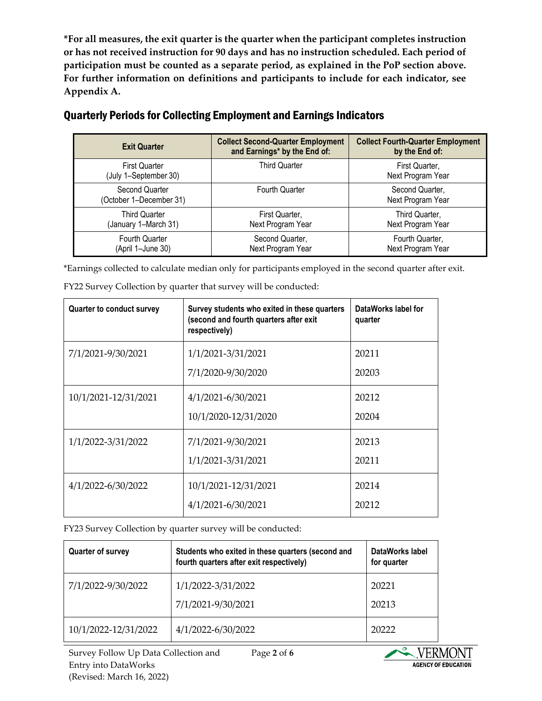**\*For all measures, the exit quarter is the quarter when the participant completes instruction or has not received instruction for 90 days and has no instruction scheduled. Each period of participation must be counted as a separate period, as explained in the PoP section above. For further information on definitions and participants to include for each indicator, see Appendix A.** 

| <b>Exit Quarter</b>                           | <b>Collect Second-Quarter Employment</b><br>and Earnings* by the End of: | <b>Collect Fourth-Quarter Employment</b><br>by the End of: |
|-----------------------------------------------|--------------------------------------------------------------------------|------------------------------------------------------------|
| <b>First Quarter</b><br>(July 1-September 30) | <b>Third Quarter</b>                                                     | First Quarter,<br>Next Program Year                        |
| Second Quarter<br>(October 1-December 31)     | Fourth Quarter                                                           | Second Quarter,<br>Next Program Year                       |
| <b>Third Quarter</b><br>(January 1–March 31)  | First Quarter,<br>Next Program Year                                      | Third Quarter.<br>Next Program Year                        |
| Fourth Quarter<br>(April 1-June 30)           | Second Quarter,<br>Next Program Year                                     | Fourth Quarter,<br>Next Program Year                       |

#### Quarterly Periods for Collecting Employment and Earnings Indicators

\*Earnings collected to calculate median only for participants employed in the second quarter after exit.

| <b>Quarter to conduct survey</b> | Survey students who exited in these quarters<br>(second and fourth quarters after exit<br>respectively) | DataWorks label for<br>quarter |
|----------------------------------|---------------------------------------------------------------------------------------------------------|--------------------------------|
| 7/1/2021-9/30/2021               | 1/1/2021-3/31/2021                                                                                      | 20211                          |
|                                  | 7/1/2020-9/30/2020                                                                                      | 20203                          |
| 10/1/2021-12/31/2021             | 4/1/2021-6/30/2021                                                                                      | 20212                          |
|                                  | 10/1/2020-12/31/2020                                                                                    | 20204                          |
| 1/1/2022-3/31/2022               | 7/1/2021-9/30/2021                                                                                      | 20213                          |
|                                  | 1/1/2021-3/31/2021                                                                                      | 20211                          |
| 4/1/2022-6/30/2022               | 10/1/2021-12/31/2021                                                                                    | 20214                          |
|                                  | 4/1/2021-6/30/2021                                                                                      | 20212                          |

FY22 Survey Collection by quarter that survey will be conducted:

FY23 Survey Collection by quarter survey will be conducted:

| <b>Quarter of survey</b> | Students who exited in these quarters (second and<br>fourth quarters after exit respectively) | DataWorks label<br>for quarter |
|--------------------------|-----------------------------------------------------------------------------------------------|--------------------------------|
| 7/1/2022-9/30/2022       | 1/1/2022-3/31/2022                                                                            | 20221                          |
|                          | 7/1/2021-9/30/2021                                                                            | 20213                          |
| 10/1/2022-12/31/2022     | 4/1/2022-6/30/2022                                                                            | 20222                          |

Page **2** of **6**

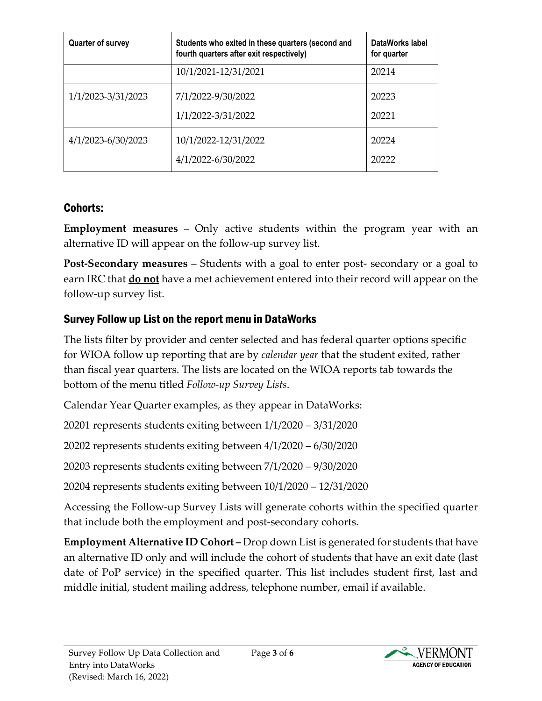| Quarter of survey  | Students who exited in these quarters (second and<br>fourth quarters after exit respectively) | DataWorks label<br>for quarter |
|--------------------|-----------------------------------------------------------------------------------------------|--------------------------------|
|                    | 10/1/2021-12/31/2021                                                                          | 20214                          |
| 1/1/2023-3/31/2023 | 7/1/2022-9/30/2022<br>1/1/2022-3/31/2022                                                      | 20223<br>20221                 |
| 4/1/2023-6/30/2023 | 10/1/2022-12/31/2022<br>4/1/2022-6/30/2022                                                    | 20224<br>20222                 |

# Cohorts:

**Employment measures** – Only active students within the program year with an alternative ID will appear on the follow-up survey list.

**Post-Secondary measures** – Students with a goal to enter post- secondary or a goal to earn IRC that **do not** have a met achievement entered into their record will appear on the follow-up survey list.

## Survey Follow up List on the report menu in DataWorks

The lists filter by provider and center selected and has federal quarter options specific for WIOA follow up reporting that are by *calendar year* that the student exited, rather than fiscal year quarters. The lists are located on the WIOA reports tab towards the bottom of the menu titled *Follow-up Survey Lists*.

Calendar Year Quarter examples, as they appear in DataWorks:

20201 represents students exiting between 1/1/2020 – 3/31/2020

20202 represents students exiting between 4/1/2020 – 6/30/2020

20203 represents students exiting between 7/1/2020 – 9/30/2020

20204 represents students exiting between 10/1/2020 – 12/31/2020

Accessing the Follow-up Survey Lists will generate cohorts within the specified quarter that include both the employment and post-secondary cohorts.

**Employment Alternative ID Cohort –** Drop down List is generated for students that have an alternative ID only and will include the cohort of students that have an exit date (last date of PoP service) in the specified quarter. This list includes student first, last and middle initial, student mailing address, telephone number, email if available.

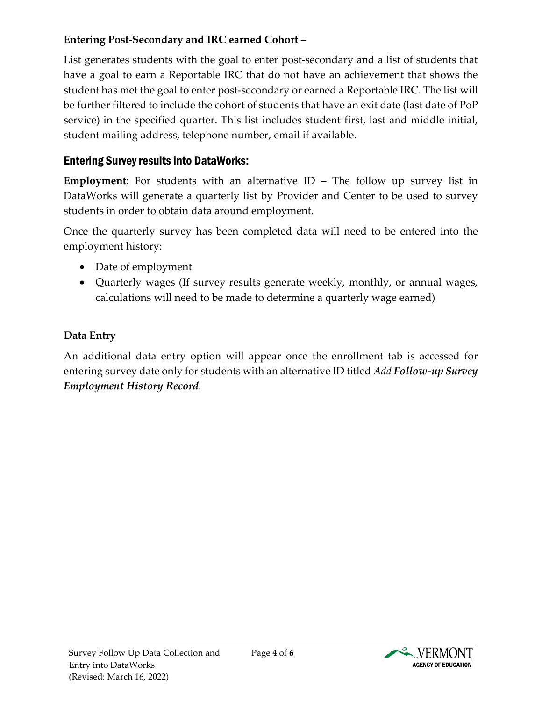#### **Entering Post-Secondary and IRC earned Cohort –**

List generates students with the goal to enter post-secondary and a list of students that have a goal to earn a Reportable IRC that do not have an achievement that shows the student has met the goal to enter post-secondary or earned a Reportable IRC. The list will be further filtered to include the cohort of students that have an exit date (last date of PoP service) in the specified quarter. This list includes student first, last and middle initial, student mailing address, telephone number, email if available.

## Entering Survey results into DataWorks:

**Employment**: For students with an alternative ID – The follow up survey list in DataWorks will generate a quarterly list by Provider and Center to be used to survey students in order to obtain data around employment.

Once the quarterly survey has been completed data will need to be entered into the employment history:

- Date of employment
- Quarterly wages (If survey results generate weekly, monthly, or annual wages, calculations will need to be made to determine a quarterly wage earned)

## **Data Entry**

An additional data entry option will appear once the enrollment tab is accessed for entering survey date only for students with an alternative ID titled *Add Follow-up Survey Employment History Record.* 

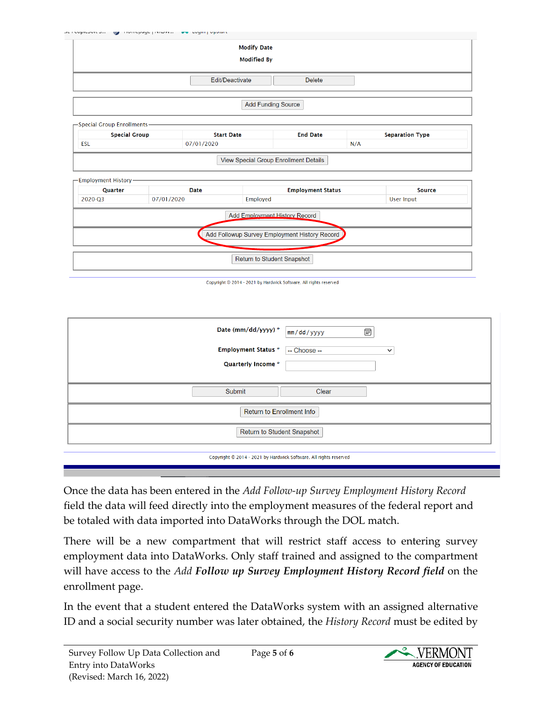|                                  |  |                                 | <b>Modify Date</b><br><b>Modified By</b> |                                       |     |                        |
|----------------------------------|--|---------------------------------|------------------------------------------|---------------------------------------|-----|------------------------|
| Edit/Deactivate<br><b>Delete</b> |  |                                 |                                          |                                       |     |                        |
| <b>Add Funding Source</b>        |  |                                 |                                          |                                       |     |                        |
|                                  |  |                                 |                                          |                                       |     |                        |
| -Special Group Enrollments-      |  |                                 |                                          |                                       |     |                        |
| <b>Special Group</b><br>ESL      |  | <b>Start Date</b><br>07/01/2020 |                                          | <b>End Date</b>                       | N/A | <b>Separation Type</b> |
|                                  |  |                                 |                                          | View Special Group Enrollment Details |     |                        |
| -Employment History-             |  |                                 |                                          |                                       |     |                        |
| Quarter                          |  | <b>Date</b>                     |                                          | <b>Employment Status</b>              |     | <b>Source</b>          |

| Add Employment History Record                   |  |
|-------------------------------------------------|--|
| Add Followup Survey Employment History Record D |  |
| Return to Student Snapshot                      |  |
|                                                 |  |

| Date (mm/dd/yyyy) *<br><b>Employment Status *</b><br>Quarterly Income * | ⊡<br>$\vert$ mm/dd/yyyy<br>-- Choose --<br>$\check{ }$ |  |  |
|-------------------------------------------------------------------------|--------------------------------------------------------|--|--|
| Submit                                                                  | Clear                                                  |  |  |
| Return to Enrollment Info                                               |                                                        |  |  |
| Return to Student Snapshot                                              |                                                        |  |  |
| Copyright © 2014 - 2021 by Hardwick Software. All rights reserved       |                                                        |  |  |

Once the data has been entered in the *Add Follow-up Survey Employment History Record* field the data will feed directly into the employment measures of the federal report and be totaled with data imported into DataWorks through the DOL match.

There will be a new compartment that will restrict staff access to entering survey employment data into DataWorks. Only staff trained and assigned to the compartment will have access to the *Add Follow up Survey Employment History Record field* on the enrollment page.

In the event that a student entered the DataWorks system with an assigned alternative ID and a social security number was later obtained, the *History Record* must be edited by



Copyright @ 2014 - 2021 by Hardwick Software. All rights reserved